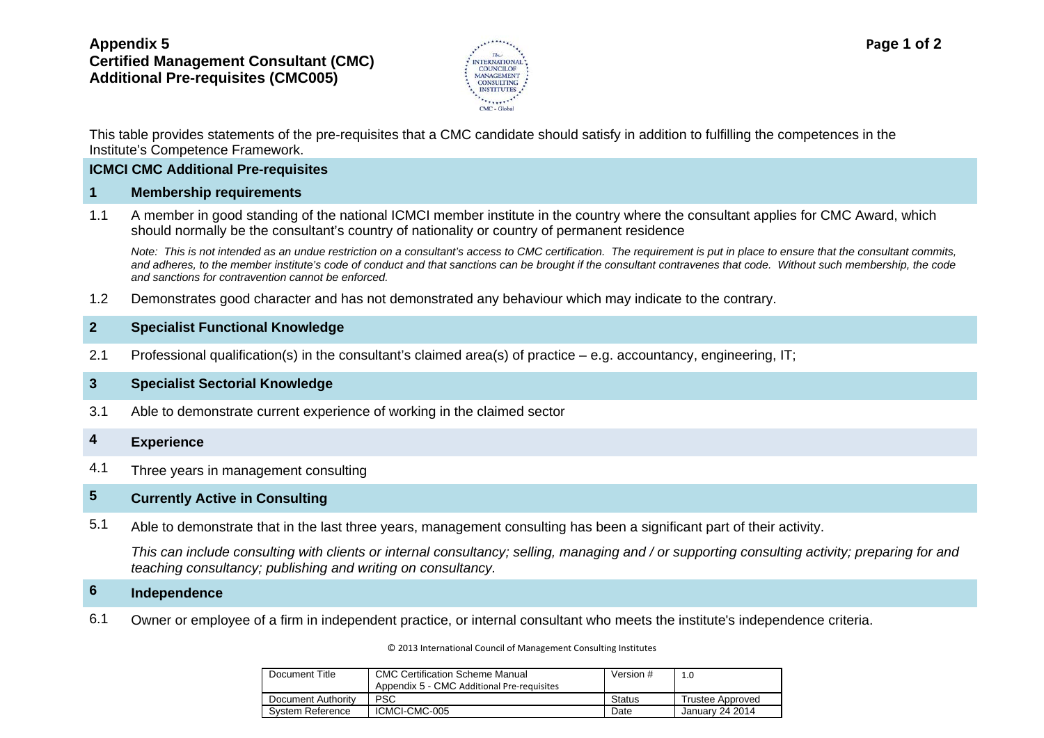# **Appendix 5 Certified Management Consultant (CMC) Additional Pre-requisites (CMC005)**



This table provides statements of the pre-requisites that a CMC candidate should satisfy in addition to fulfilling the competences in the Institute's Competence Framework.

### **ICMCI CMC Additional Pre-requisites**

#### **1 Membership requirements**

1.1 A member in good standing of the national ICMCI member institute in the country where the consultant applies for CMC Award, which should normally be the consultant's country of nationality or country of permanent residence

*Note: This is not intended as an undue restriction on a consultant's access to CMC certification. The requirement is put in place to ensure that the consultant commits, and adheres, to the member institute's code of conduct and that sanctions can be brought if the consultant contravenes that code. Without such membership, the code and sanctions for contravention cannot be enforced.*

1.2 Demonstrates good character and has not demonstrated any behaviour which may indicate to the contrary.

## **2 Specialist Functional Knowledge**

2.1 Professional qualification(s) in the consultant's claimed area(s) of practice – e.g. accountancy, engineering, IT;

### **3 Specialist Sectorial Knowledge**

3.1 Able to demonstrate current experience of working in the claimed sector

## **4 Experience**

4.1 Three years in management consulting

# **5 Currently Active in Consulting**

5.1 Able to demonstrate that in the last three years, management consulting has been a significant part of their activity.

*This can include consulting with clients or internal consultancy; selling, managing and / or supporting consulting activity; preparing for and teaching consultancy; publishing and writing on consultancy.*

# **6 Independence**

6.1 Owner or employee of a firm in independent practice, or internal consultant who meets the institute's independence criteria.

#### © 2013 International Council of Management Consulting Institutes

| Document Title     | <b>CMC Certification Scheme Manual</b><br>Appendix 5 - CMC Additional Pre-requisites | Version # | 1.0              |
|--------------------|--------------------------------------------------------------------------------------|-----------|------------------|
| Document Authority | <b>PSC</b>                                                                           | Status    | Trustee Approved |
| System Reference   | ICMCI-CMC-005                                                                        | Date      | January 24 2014  |